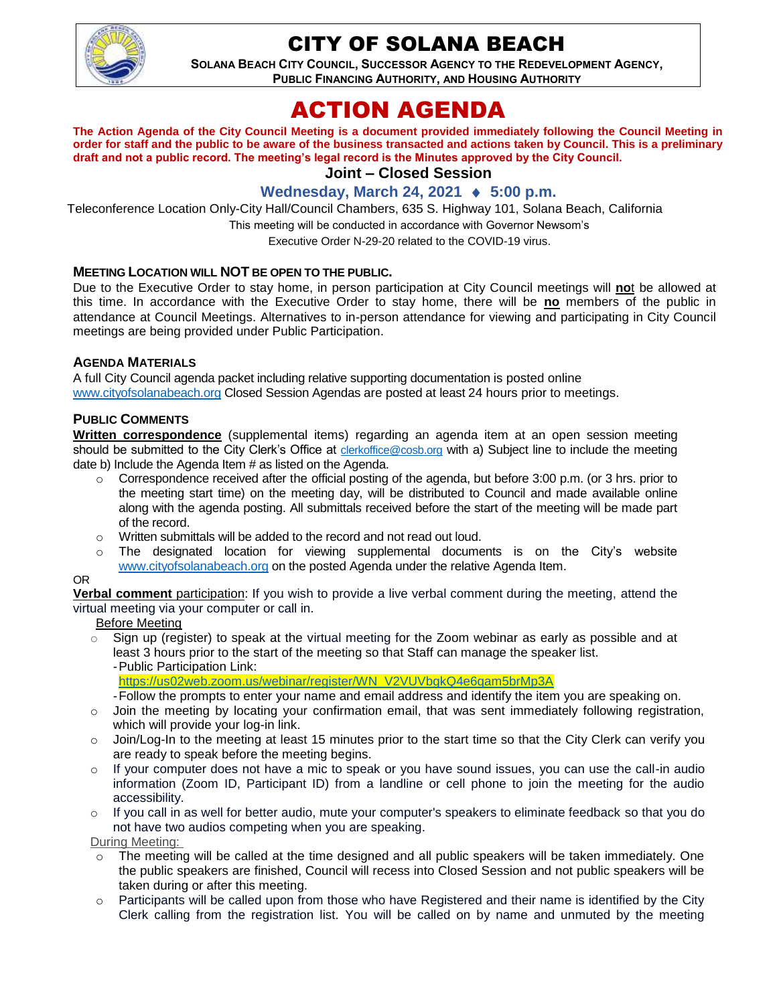

# CITY OF SOLANA BEACH

**SOLANA BEACH CITY COUNCIL, SUCCESSOR AGENCY TO THE REDEVELOPMENT AGENCY, PUBLIC FINANCING AUTHORITY, AND HOUSING AUTHORITY** 

# ACTION AGENDA

**The Action Agenda of the City Council Meeting is a document provided immediately following the Council Meeting in order for staff and the public to be aware of the business transacted and actions taken by Council. This is a preliminary draft and not a public record. The meeting's legal record is the Minutes approved by the City Council.**

## **Joint – Closed Session**

## **Wednesday, March 24, 2021 ♦ 5:00 p.m.**

Teleconference Location Only-City Hall/Council Chambers, 635 S. Highway 101, Solana Beach, California

This meeting will be conducted in accordance with Governor Newsom's

Executive Order N-29-20 related to the COVID-19 virus.

## **MEETING LOCATION WILL NOT BE OPEN TO THE PUBLIC.**

Due to the Executive Order to stay home, in person participation at City Council meetings will **no**t be allowed at this time. In accordance with the Executive Order to stay home, there will be **no** members of the public in attendance at Council Meetings. Alternatives to in-person attendance for viewing and participating in City Council meetings are being provided under Public Participation.

## **AGENDA MATERIALS**

A full City Council agenda packet including relative supporting documentation is posted online [www.cityofsolanabeach.org](https://urldefense.proofpoint.com/v2/url?u=http-3A__www.cityofsolanabeach.org&d=DwQFAg&c=euGZstcaTDllvimEN8b7jXrwqOf-v5A_CdpgnVfiiMM&r=1XAsCUuqwK_tji2t0s1uIQ&m=wny2RVfZJ2tN24LkqZmkUWNpwL_peNtTZUBlTBZiMM4&s=6ATguqxJUOD7VVtloplAbyuyNaVcEh6Fl4q1iw55lCY&e=) Closed Session Agendas are posted at least 24 hours prior to meetings.

## **PUBLIC COMMENTS**

**Written correspondence** (supplemental items) regarding an agenda item at an open session meeting should be submitted to the City Clerk's Office at [clerkoffice@cosb.org](mailto:clerkoffice@cosb.org) with a) Subject line to include the meeting date b) Include the Agenda Item # as listed on the Agenda.

- o Correspondence received after the official posting of the agenda, but before 3:00 p.m. (or 3 hrs. prior to the meeting start time) on the meeting day, will be distributed to Council and made available online along with the agenda posting. All submittals received before the start of the meeting will be made part of the record.
- o Written submittals will be added to the record and not read out loud.
- $\circ$  The designated location for viewing supplemental documents is on the City's website [www.cityofsolanabeach.org](http://www.cityofsolanabeach.org/) on the posted Agenda under the relative Agenda Item.

#### OR

**Verbal comment** participation: If you wish to provide a live verbal comment during the meeting, attend the virtual meeting via your computer or call in.

#### Before Meeting

 $\circ$  Sign up (register) to speak at the virtual meeting for the Zoom webinar as early as possible and at least 3 hours prior to the start of the meeting so that Staff can manage the speaker list. -Public Participation Link:

[https://us02web.zoom.us/webinar/register/WN\\_V2VUVbgkQ4e6qam5brMp3A](https://us02web.zoom.us/webinar/register/WN_V2VUVbgkQ4e6qam5brMp3A)

- -Follow the prompts to enter your name and email address and identify the item you are speaking on.
- $\circ$  Join the meeting by locating your confirmation email, that was sent immediately following registration, which will provide your log-in link.
- $\circ$  Join/Log-In to the meeting at least 15 minutes prior to the start time so that the City Clerk can verify you are ready to speak before the meeting begins.
- $\circ$  If your computer does not have a mic to speak or you have sound issues, you can use the call-in audio information (Zoom ID, Participant ID) from a landline or cell phone to join the meeting for the audio accessibility.
- $\circ$  If you call in as well for better audio, mute your computer's speakers to eliminate feedback so that you do not have two audios competing when you are speaking.

During Meeting:

- $\circ$  The meeting will be called at the time designed and all public speakers will be taken immediately. One the public speakers are finished, Council will recess into Closed Session and not public speakers will be taken during or after this meeting.
- $\circ$  Participants will be called upon from those who have Registered and their name is identified by the City Clerk calling from the registration list. You will be called on by name and unmuted by the meeting